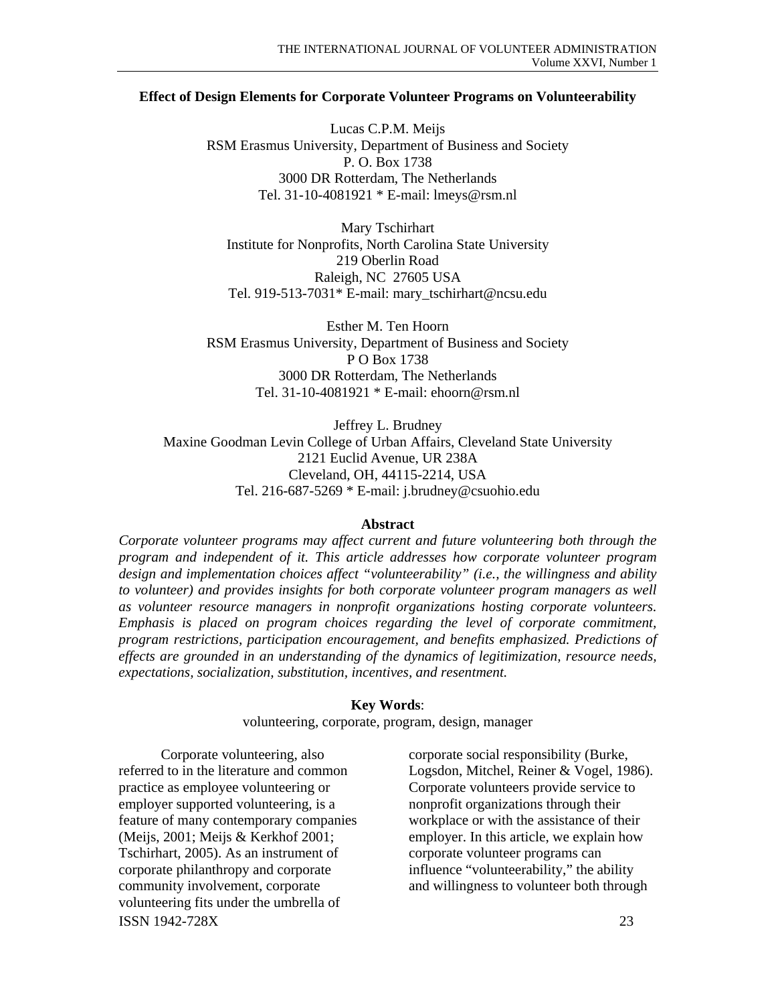### **Effect of Design Elements for Corporate Volunteer Programs on Volunteerability**

Lucas C.P.M. Meijs RSM Erasmus University, Department of Business and Society P. O. Box 1738 3000 DR Rotterdam, The Netherlands Tel. 31-10-4081921 \* E-mail: lmeys@rsm.nl

Mary Tschirhart Institute for Nonprofits, North Carolina State University 219 Oberlin Road Raleigh, NC 27605 USA Tel. 919-513-7031\* E-mail: mary\_tschirhart@ncsu.edu

Esther M. Ten Hoorn RSM Erasmus University, Department of Business and Society P O Box 1738 3000 DR Rotterdam, The Netherlands Tel. 31-10-4081921 \* E-mail: ehoorn@rsm.nl

Jeffrey L. Brudney Maxine Goodman Levin College of Urban Affairs, Cleveland State University 2121 Euclid Avenue, UR 238A Cleveland, OH, 44115-2214, USA Tel. 216-687-5269 \* E-mail: j.brudney@csuohio.edu

#### **Abstract**

*Corporate volunteer programs may affect current and future volunteering both through the program and independent of it. This article addresses how corporate volunteer program design and implementation choices affect "volunteerability" (i.e., the willingness and ability to volunteer) and provides insights for both corporate volunteer program managers as well as volunteer resource managers in nonprofit organizations hosting corporate volunteers. Emphasis is placed on program choices regarding the level of corporate commitment, program restrictions, participation encouragement, and benefits emphasized. Predictions of effects are grounded in an understanding of the dynamics of legitimization, resource needs, expectations, socialization, substitution, incentives, and resentment.* 

#### **Key Words**:

volunteering, corporate, program, design, manager

ISSN 1942-728X 23 Corporate volunteering, also referred to in the literature and common practice as employee volunteering or employer supported volunteering, is a feature of many contemporary companies (Meijs, 2001; Meijs & Kerkhof 2001; Tschirhart, 2005). As an instrument of corporate philanthropy and corporate community involvement, corporate volunteering fits under the umbrella of

corporate social responsibility (Burke, Logsdon, Mitchel, Reiner & Vogel, 1986). Corporate volunteers provide service to nonprofit organizations through their workplace or with the assistance of their employer. In this article, we explain how corporate volunteer programs can influence "volunteerability," the ability and willingness to volunteer both through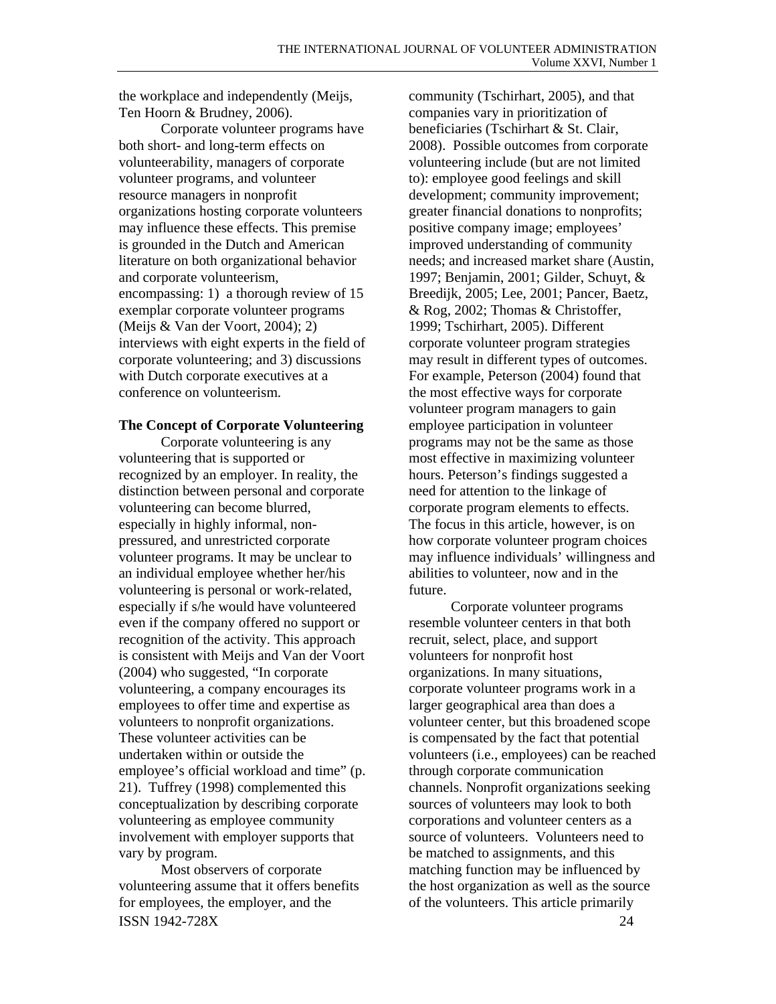the workplace and independently (Meijs, Ten Hoorn & Brudney, 2006).

Corporate volunteer programs have both short- and long-term effects on volunteerability, managers of corporate volunteer programs, and volunteer resource managers in nonprofit organizations hosting corporate volunteers may influence these effects. This premise is grounded in the Dutch and American literature on both organizational behavior and corporate volunteerism, encompassing: 1) a thorough review of 15 exemplar corporate volunteer programs (Meijs & Van der Voort, 2004); 2) interviews with eight experts in the field of corporate volunteering; and 3) discussions with Dutch corporate executives at a conference on volunteerism.

# **The Concept of Corporate Volunteering**

Corporate volunteering is any volunteering that is supported or recognized by an employer. In reality, the distinction between personal and corporate volunteering can become blurred, especially in highly informal, nonpressured, and unrestricted corporate volunteer programs. It may be unclear to an individual employee whether her/his volunteering is personal or work-related, especially if s/he would have volunteered even if the company offered no support or recognition of the activity. This approach is consistent with Meijs and Van der Voort (2004) who suggested, "In corporate volunteering, a company encourages its employees to offer time and expertise as volunteers to nonprofit organizations. These volunteer activities can be undertaken within or outside the employee's official workload and time" (p. 21). Tuffrey (1998) complemented this conceptualization by describing corporate volunteering as employee community involvement with employer supports that vary by program.

ISSN 1942-728X 24 Most observers of corporate volunteering assume that it offers benefits for employees, the employer, and the

community (Tschirhart, 2005), and that companies vary in prioritization of beneficiaries (Tschirhart & St. Clair, 2008). Possible outcomes from corporate volunteering include (but are not limited to): employee good feelings and skill development; community improvement; greater financial donations to nonprofits; positive company image; employees' improved understanding of community needs; and increased market share (Austin, 1997; Benjamin, 2001; Gilder, Schuyt, & Breedijk, 2005; Lee, 2001; Pancer, Baetz, & Rog, 2002; Thomas & Christoffer, 1999; Tschirhart, 2005). Different corporate volunteer program strategies may result in different types of outcomes. For example, Peterson (2004) found that the most effective ways for corporate volunteer program managers to gain employee participation in volunteer programs may not be the same as those most effective in maximizing volunteer hours. Peterson's findings suggested a need for attention to the linkage of corporate program elements to effects. The focus in this article, however, is on how corporate volunteer program choices may influence individuals' willingness and abilities to volunteer, now and in the future.

Corporate volunteer programs resemble volunteer centers in that both recruit, select, place, and support volunteers for nonprofit host organizations. In many situations, corporate volunteer programs work in a larger geographical area than does a volunteer center, but this broadened scope is compensated by the fact that potential volunteers (i.e., employees) can be reached through corporate communication channels. Nonprofit organizations seeking sources of volunteers may look to both corporations and volunteer centers as a source of volunteers. Volunteers need to be matched to assignments, and this matching function may be influenced by the host organization as well as the source of the volunteers. This article primarily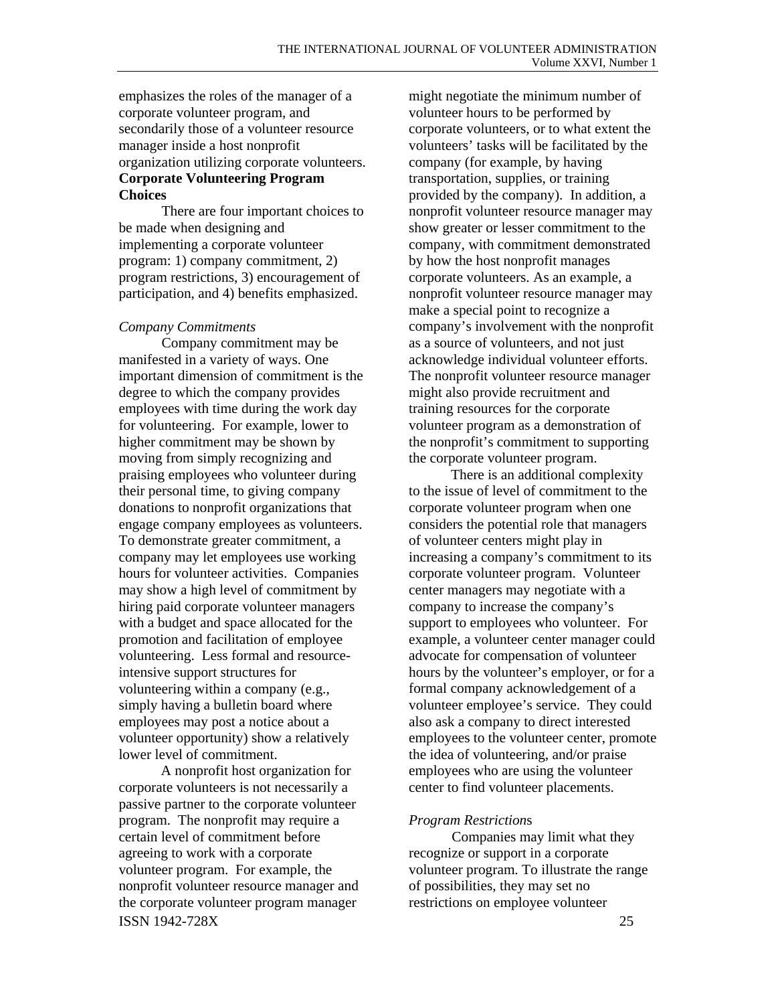emphasizes the roles of the manager of a corporate volunteer program, and secondarily those of a volunteer resource manager inside a host nonprofit organization utilizing corporate volunteers. **Corporate Volunteering Program Choices** 

 There are four important choices to be made when designing and implementing a corporate volunteer program: 1) company commitment, 2) program restrictions, 3) encouragement of participation, and 4) benefits emphasized.

### *Company Commitments*

 Company commitment may be manifested in a variety of ways. One important dimension of commitment is the degree to which the company provides employees with time during the work day for volunteering. For example, lower to higher commitment may be shown by moving from simply recognizing and praising employees who volunteer during their personal time, to giving company donations to nonprofit organizations that engage company employees as volunteers. To demonstrate greater commitment, a company may let employees use working hours for volunteer activities. Companies may show a high level of commitment by hiring paid corporate volunteer managers with a budget and space allocated for the promotion and facilitation of employee volunteering. Less formal and resourceintensive support structures for volunteering within a company (e.g., simply having a bulletin board where employees may post a notice about a volunteer opportunity) show a relatively lower level of commitment.

ISSN 1942-728X 25 A nonprofit host organization for corporate volunteers is not necessarily a passive partner to the corporate volunteer program. The nonprofit may require a certain level of commitment before agreeing to work with a corporate volunteer program. For example, the nonprofit volunteer resource manager and the corporate volunteer program manager

might negotiate the minimum number of volunteer hours to be performed by corporate volunteers, or to what extent the volunteers' tasks will be facilitated by the company (for example, by having transportation, supplies, or training provided by the company). In addition, a nonprofit volunteer resource manager may show greater or lesser commitment to the company, with commitment demonstrated by how the host nonprofit manages corporate volunteers. As an example, a nonprofit volunteer resource manager may make a special point to recognize a company's involvement with the nonprofit as a source of volunteers, and not just acknowledge individual volunteer efforts. The nonprofit volunteer resource manager might also provide recruitment and training resources for the corporate volunteer program as a demonstration of the nonprofit's commitment to supporting the corporate volunteer program.

There is an additional complexity to the issue of level of commitment to the corporate volunteer program when one considers the potential role that managers of volunteer centers might play in increasing a company's commitment to its corporate volunteer program. Volunteer center managers may negotiate with a company to increase the company's support to employees who volunteer. For example, a volunteer center manager could advocate for compensation of volunteer hours by the volunteer's employer, or for a formal company acknowledgement of a volunteer employee's service. They could also ask a company to direct interested employees to the volunteer center, promote the idea of volunteering, and/or praise employees who are using the volunteer center to find volunteer placements.

### *Program Restriction*s

 Companies may limit what they recognize or support in a corporate volunteer program. To illustrate the range of possibilities, they may set no restrictions on employee volunteer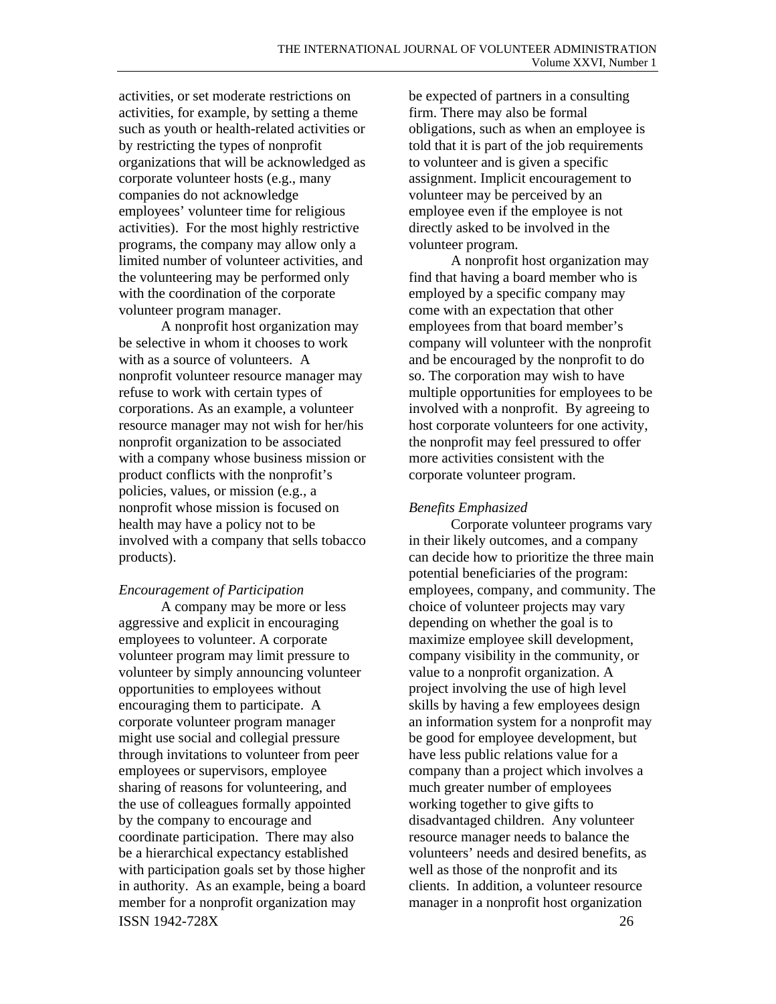activities, or set moderate restrictions on activities, for example, by setting a theme such as youth or health-related activities or by restricting the types of nonprofit organizations that will be acknowledged as corporate volunteer hosts (e.g., many companies do not acknowledge employees' volunteer time for religious activities). For the most highly restrictive programs, the company may allow only a limited number of volunteer activities, and the volunteering may be performed only with the coordination of the corporate volunteer program manager.

A nonprofit host organization may be selective in whom it chooses to work with as a source of volunteers. A nonprofit volunteer resource manager may refuse to work with certain types of corporations. As an example, a volunteer resource manager may not wish for her/his nonprofit organization to be associated with a company whose business mission or product conflicts with the nonprofit's policies, values, or mission (e.g., a nonprofit whose mission is focused on health may have a policy not to be involved with a company that sells tobacco products).

### *Encouragement of Participation*

ISSN 1942-728X 26 A company may be more or less aggressive and explicit in encouraging employees to volunteer. A corporate volunteer program may limit pressure to volunteer by simply announcing volunteer opportunities to employees without encouraging them to participate. A corporate volunteer program manager might use social and collegial pressure through invitations to volunteer from peer employees or supervisors, employee sharing of reasons for volunteering, and the use of colleagues formally appointed by the company to encourage and coordinate participation. There may also be a hierarchical expectancy established with participation goals set by those higher in authority. As an example, being a board member for a nonprofit organization may

be expected of partners in a consulting firm. There may also be formal obligations, such as when an employee is told that it is part of the job requirements to volunteer and is given a specific assignment. Implicit encouragement to volunteer may be perceived by an employee even if the employee is not directly asked to be involved in the volunteer program.

A nonprofit host organization may find that having a board member who is employed by a specific company may come with an expectation that other employees from that board member's company will volunteer with the nonprofit and be encouraged by the nonprofit to do so. The corporation may wish to have multiple opportunities for employees to be involved with a nonprofit. By agreeing to host corporate volunteers for one activity, the nonprofit may feel pressured to offer more activities consistent with the corporate volunteer program.

# *Benefits Emphasized*

Corporate volunteer programs vary in their likely outcomes, and a company can decide how to prioritize the three main potential beneficiaries of the program: employees, company, and community. The choice of volunteer projects may vary depending on whether the goal is to maximize employee skill development, company visibility in the community, or value to a nonprofit organization. A project involving the use of high level skills by having a few employees design an information system for a nonprofit may be good for employee development, but have less public relations value for a company than a project which involves a much greater number of employees working together to give gifts to disadvantaged children. Any volunteer resource manager needs to balance the volunteers' needs and desired benefits, as well as those of the nonprofit and its clients. In addition, a volunteer resource manager in a nonprofit host organization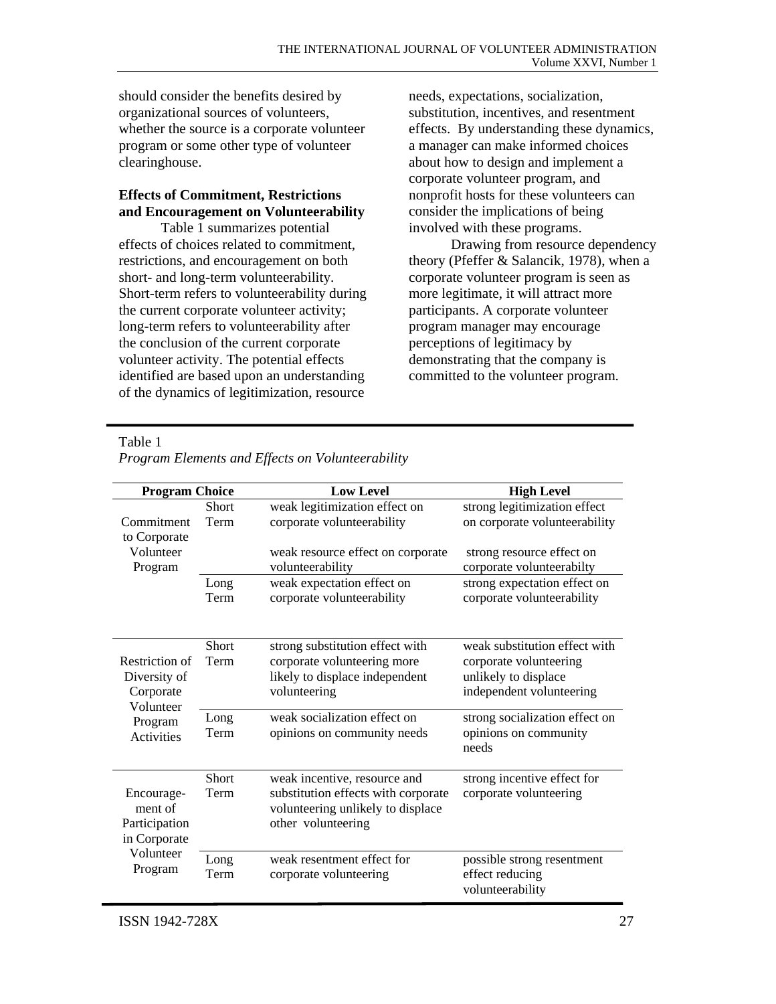should consider the benefits desired by organizational sources of volunteers, whether the source is a corporate volunteer program or some other type of volunteer clearinghouse.

# **Effects of Commitment, Restrictions and Encouragement on Volunteerability**

Table 1 summarizes potential effects of choices related to commitment, restrictions, and encouragement on both short- and long-term volunteerability. Short-term refers to volunteerability during the current corporate volunteer activity; long-term refers to volunteerability after the conclusion of the current corporate volunteer activity. The potential effects identified are based upon an understanding of the dynamics of legitimization, resource

needs, expectations, socialization, substitution, incentives, and resentment effects. By understanding these dynamics, a manager can make informed choices about how to design and implement a corporate volunteer program, and nonprofit hosts for these volunteers can consider the implications of being involved with these programs.

Drawing from resource dependency theory (Pfeffer & Salancik, 1978), when a corporate volunteer program is seen as more legitimate, it will attract more participants. A corporate volunteer program manager may encourage perceptions of legitimacy by demonstrating that the company is committed to the volunteer program.

Table 1

| <b>Program Choice</b>        |              | <b>Low Level</b>                    | <b>High Level</b>              |
|------------------------------|--------------|-------------------------------------|--------------------------------|
|                              | Short        | weak legitimization effect on       | strong legitimization effect   |
| Commitment                   | Term         | corporate volunteerability          | on corporate volunteerability  |
| to Corporate                 |              |                                     |                                |
| Volunteer                    |              | weak resource effect on corporate   | strong resource effect on      |
| Program                      |              | volunteerability                    | corporate volunteerabilty      |
|                              | Long         | weak expectation effect on          | strong expectation effect on   |
|                              | Term         | corporate volunteerability          | corporate volunteerability     |
|                              |              |                                     |                                |
|                              |              |                                     |                                |
|                              | <b>Short</b> | strong substitution effect with     | weak substitution effect with  |
| Restriction of               | Term         | corporate volunteering more         | corporate volunteering         |
| Diversity of                 |              | likely to displace independent      | unlikely to displace           |
| Corporate                    |              | volunteering                        | independent volunteering       |
| Volunteer                    | Long         | weak socialization effect on        | strong socialization effect on |
| Program<br><b>Activities</b> | Term         | opinions on community needs         | opinions on community          |
|                              |              |                                     | needs                          |
|                              |              |                                     |                                |
|                              | <b>Short</b> | weak incentive, resource and        | strong incentive effect for    |
| Encourage-                   | Term         | substitution effects with corporate | corporate volunteering         |
| ment of                      |              | volunteering unlikely to displace   |                                |
| Participation                |              | other volunteering                  |                                |
| in Corporate                 |              |                                     |                                |
| Volunteer                    | Long         | weak resentment effect for          | possible strong resentment     |
| Program                      | Term         | corporate volunteering              | effect reducing                |
|                              |              |                                     | volunteerability               |

*Program Elements and Effects on Volunteerability*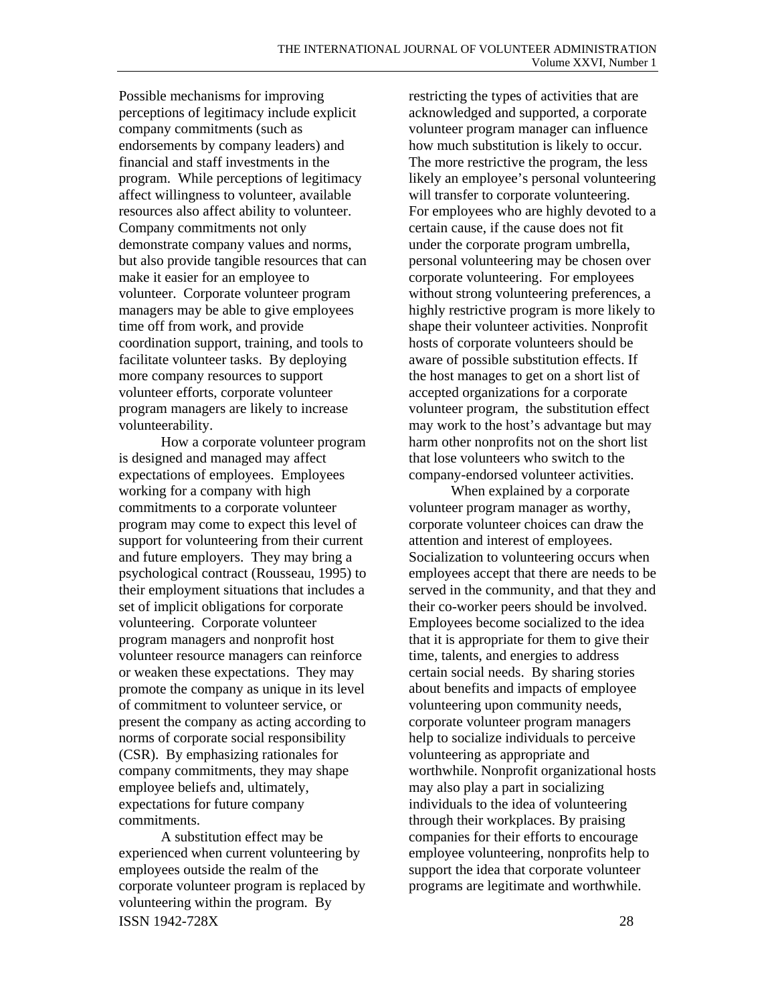Possible mechanisms for improving perceptions of legitimacy include explicit company commitments (such as endorsements by company leaders) and financial and staff investments in the program. While perceptions of legitimacy affect willingness to volunteer, available resources also affect ability to volunteer. Company commitments not only demonstrate company values and norms, but also provide tangible resources that can make it easier for an employee to volunteer. Corporate volunteer program managers may be able to give employees time off from work, and provide coordination support, training, and tools to facilitate volunteer tasks. By deploying more company resources to support volunteer efforts, corporate volunteer program managers are likely to increase volunteerability.

How a corporate volunteer program is designed and managed may affect expectations of employees. Employees working for a company with high commitments to a corporate volunteer program may come to expect this level of support for volunteering from their current and future employers. They may bring a psychological contract (Rousseau, 1995) to their employment situations that includes a set of implicit obligations for corporate volunteering. Corporate volunteer program managers and nonprofit host volunteer resource managers can reinforce or weaken these expectations. They may promote the company as unique in its level of commitment to volunteer service, or present the company as acting according to norms of corporate social responsibility (CSR). By emphasizing rationales for company commitments, they may shape employee beliefs and, ultimately, expectations for future company commitments.

ISSN 1942-728X 28 A substitution effect may be experienced when current volunteering by employees outside the realm of the corporate volunteer program is replaced by volunteering within the program. By

restricting the types of activities that are acknowledged and supported, a corporate volunteer program manager can influence how much substitution is likely to occur. The more restrictive the program, the less likely an employee's personal volunteering will transfer to corporate volunteering. For employees who are highly devoted to a certain cause, if the cause does not fit under the corporate program umbrella, personal volunteering may be chosen over corporate volunteering. For employees without strong volunteering preferences, a highly restrictive program is more likely to shape their volunteer activities. Nonprofit hosts of corporate volunteers should be aware of possible substitution effects. If the host manages to get on a short list of accepted organizations for a corporate volunteer program, the substitution effect may work to the host's advantage but may harm other nonprofits not on the short list that lose volunteers who switch to the company-endorsed volunteer activities.

When explained by a corporate volunteer program manager as worthy, corporate volunteer choices can draw the attention and interest of employees. Socialization to volunteering occurs when employees accept that there are needs to be served in the community, and that they and their co-worker peers should be involved. Employees become socialized to the idea that it is appropriate for them to give their time, talents, and energies to address certain social needs. By sharing stories about benefits and impacts of employee volunteering upon community needs, corporate volunteer program managers help to socialize individuals to perceive volunteering as appropriate and worthwhile. Nonprofit organizational hosts may also play a part in socializing individuals to the idea of volunteering through their workplaces. By praising companies for their efforts to encourage employee volunteering, nonprofits help to support the idea that corporate volunteer programs are legitimate and worthwhile.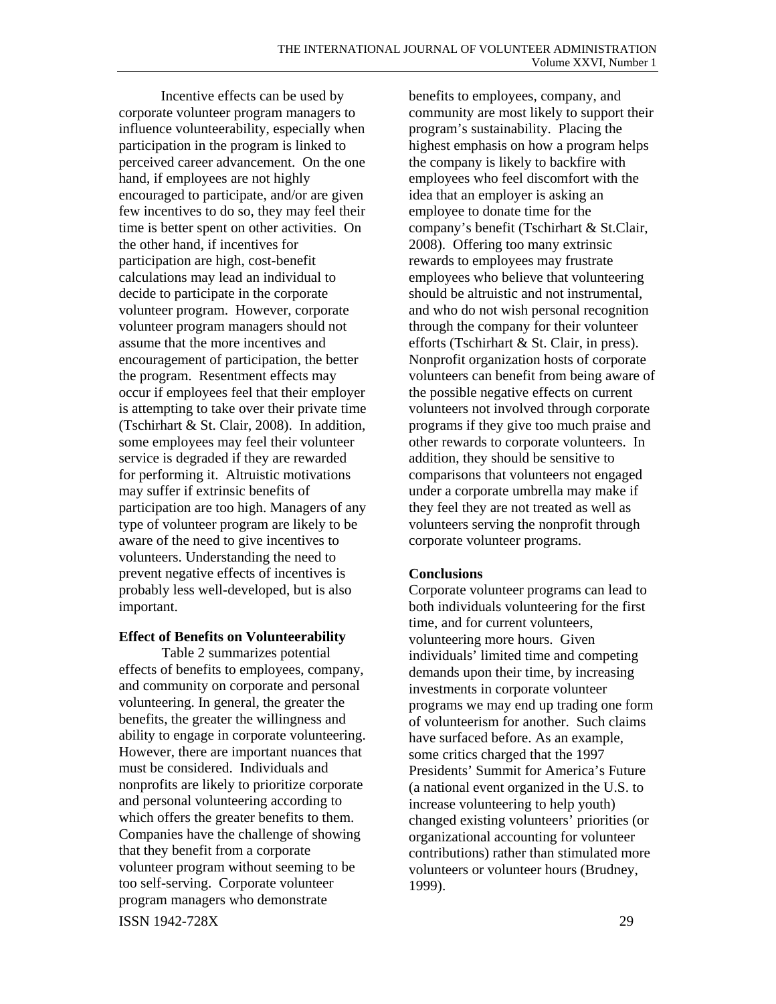Incentive effects can be used by corporate volunteer program managers to influence volunteerability, especially when participation in the program is linked to perceived career advancement. On the one hand, if employees are not highly encouraged to participate, and/or are given few incentives to do so, they may feel their time is better spent on other activities. On the other hand, if incentives for participation are high, cost-benefit calculations may lead an individual to decide to participate in the corporate volunteer program. However, corporate volunteer program managers should not assume that the more incentives and encouragement of participation, the better the program. Resentment effects may occur if employees feel that their employer is attempting to take over their private time (Tschirhart & St. Clair, 2008). In addition, some employees may feel their volunteer service is degraded if they are rewarded for performing it. Altruistic motivations may suffer if extrinsic benefits of participation are too high. Managers of any type of volunteer program are likely to be aware of the need to give incentives to volunteers. Understanding the need to prevent negative effects of incentives is probably less well-developed, but is also important.

# **Effect of Benefits on Volunteerability**

Table 2 summarizes potential effects of benefits to employees, company, and community on corporate and personal volunteering. In general, the greater the benefits, the greater the willingness and ability to engage in corporate volunteering. However, there are important nuances that must be considered. Individuals and nonprofits are likely to prioritize corporate and personal volunteering according to which offers the greater benefits to them. Companies have the challenge of showing that they benefit from a corporate volunteer program without seeming to be too self-serving. Corporate volunteer program managers who demonstrate

benefits to employees, company, and community are most likely to support their program's sustainability. Placing the highest emphasis on how a program helps the company is likely to backfire with employees who feel discomfort with the idea that an employer is asking an employee to donate time for the company's benefit (Tschirhart & St.Clair, 2008). Offering too many extrinsic rewards to employees may frustrate employees who believe that volunteering should be altruistic and not instrumental, and who do not wish personal recognition through the company for their volunteer efforts (Tschirhart & St. Clair, in press). Nonprofit organization hosts of corporate volunteers can benefit from being aware of the possible negative effects on current volunteers not involved through corporate programs if they give too much praise and other rewards to corporate volunteers. In addition, they should be sensitive to comparisons that volunteers not engaged under a corporate umbrella may make if they feel they are not treated as well as volunteers serving the nonprofit through corporate volunteer programs.

# **Conclusions**

Corporate volunteer programs can lead to both individuals volunteering for the first time, and for current volunteers, volunteering more hours. Given individuals' limited time and competing demands upon their time, by increasing investments in corporate volunteer programs we may end up trading one form of volunteerism for another. Such claims have surfaced before. As an example, some critics charged that the 1997 Presidents' Summit for America's Future (a national event organized in the U.S. to increase volunteering to help youth) changed existing volunteers' priorities (or organizational accounting for volunteer contributions) rather than stimulated more volunteers or volunteer hours (Brudney, 1999).

ISSN 1942-728X 29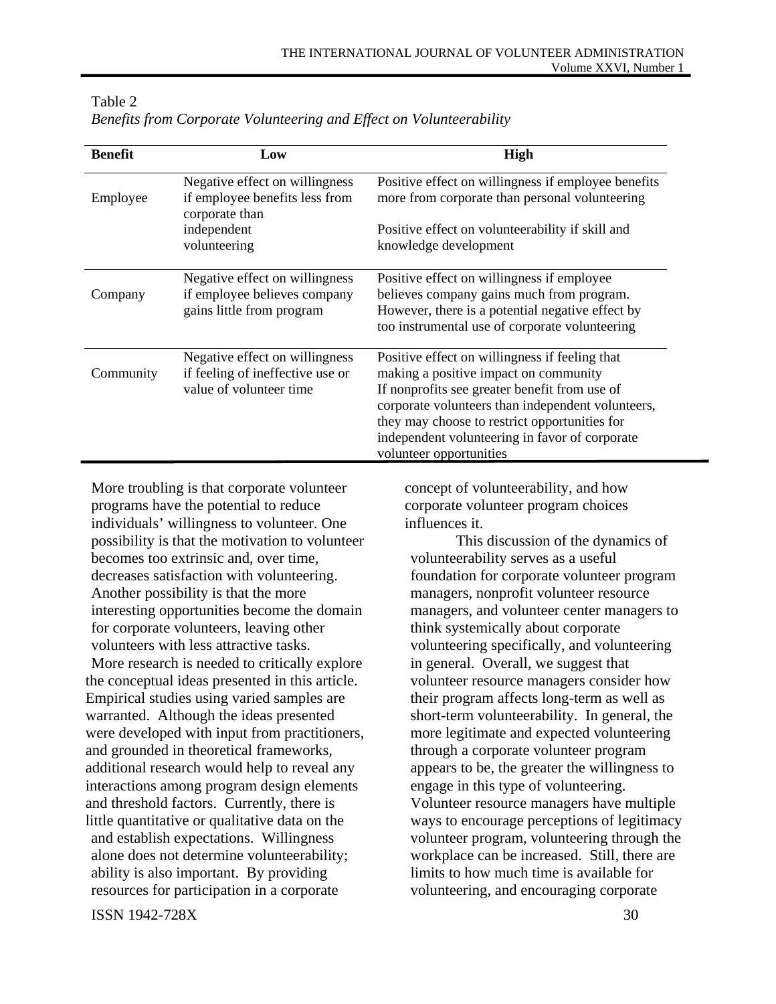| <b>Benefit</b> | Low                                                                                           | <b>High</b>                                                                                                                                                                                                                                                                                                                 |
|----------------|-----------------------------------------------------------------------------------------------|-----------------------------------------------------------------------------------------------------------------------------------------------------------------------------------------------------------------------------------------------------------------------------------------------------------------------------|
| Employee       | Negative effect on willingness<br>if employee benefits less from<br>corporate than            | Positive effect on willingness if employee benefits<br>more from corporate than personal volunteering                                                                                                                                                                                                                       |
|                | independent<br>volunteering                                                                   | Positive effect on volunteerability if skill and<br>knowledge development                                                                                                                                                                                                                                                   |
| Company        | Negative effect on willingness<br>if employee believes company<br>gains little from program   | Positive effect on willingness if employee<br>believes company gains much from program.<br>However, there is a potential negative effect by<br>too instrumental use of corporate volunteering                                                                                                                               |
| Community      | Negative effect on willingness<br>if feeling of ineffective use or<br>value of volunteer time | Positive effect on willingness if feeling that<br>making a positive impact on community<br>If nonprofits see greater benefit from use of<br>corporate volunteers than independent volunteers,<br>they may choose to restrict opportunities for<br>independent volunteering in favor of corporate<br>volunteer opportunities |

Table 2 *Benefits from Corporate Volunteering and Effect on Volunteerability* 

More troubling is that corporate volunteer programs have the potential to reduce individuals' willingness to volunteer. One possibility is that the motivation to volunteer becomes too extrinsic and, over time, decreases satisfaction with volunteering. Another possibility is that the more interesting opportunities become the domain for corporate volunteers, leaving other volunteers with less attractive tasks. More research is needed to critically explore the conceptual ideas presented in this article. Empirical studies using varied samples are warranted. Although the ideas presented were developed with input from practitioners, and grounded in theoretical frameworks, additional research would help to reveal any interactions among program design elements and threshold factors. Currently, there is little quantitative or qualitative data on the and establish expectations. Willingness alone does not determine volunteerability; ability is also important. By providing resources for participation in a corporate

concept of volunteerability, and how corporate volunteer program choices influences it.

 This discussion of the dynamics of volunteerability serves as a useful foundation for corporate volunteer program managers, nonprofit volunteer resource managers, and volunteer center managers to think systemically about corporate volunteering specifically, and volunteering in general. Overall, we suggest that volunteer resource managers consider how their program affects long-term as well as short-term volunteerability. In general, the more legitimate and expected volunteering through a corporate volunteer program appears to be, the greater the willingness to engage in this type of volunteering. Volunteer resource managers have multiple ways to encourage perceptions of legitimacy volunteer program, volunteering through the workplace can be increased. Still, there are limits to how much time is available for volunteering, and encouraging corporate

ISSN 1942-728X 30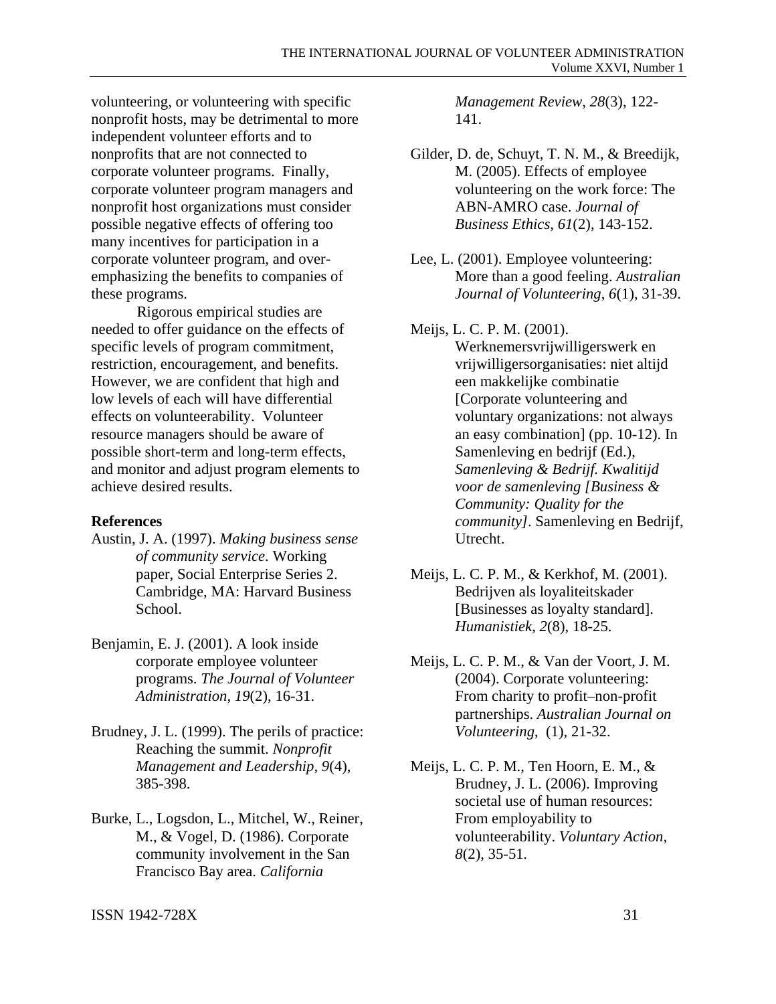volunteering, or volunteering with specific nonprofit hosts, may be detrimental to more independent volunteer efforts and to nonprofits that are not connected to corporate volunteer programs. Finally, corporate volunteer program managers and nonprofit host organizations must consider possible negative effects of offering too many incentives for participation in a corporate volunteer program, and overemphasizing the benefits to companies of these programs.

 Rigorous empirical studies are needed to offer guidance on the effects of specific levels of program commitment, restriction, encouragement, and benefits. However, we are confident that high and low levels of each will have differential effects on volunteerability. Volunteer resource managers should be aware of possible short-term and long-term effects, and monitor and adjust program elements to achieve desired results.

# **References**

- Austin, J. A. (1997). *Making business sense of community service*. Working paper, Social Enterprise Series 2. Cambridge, MA: Harvard Business School.
- Benjamin, E. J. (2001). A look inside corporate employee volunteer programs. *The Journal of Volunteer Administration*, *19*(2), 16-31.
- Brudney, J. L. (1999). The perils of practice: Reaching the summit. *Nonprofit Management and Leadership, 9*(4), 385-398.
- Burke, L., Logsdon, L., Mitchel, W., Reiner, M., & Vogel, D. (1986). Corporate community involvement in the San Francisco Bay area. *California*

*Management Review*, *28*(3), 122- 141.

- Gilder, D. de, Schuyt, T. N. M., & Breedijk, M. (2005). Effects of employee volunteering on the work force: The ABN-AMRO case. *Journal of Business Ethics*, *61*(2), 143-152.
- Lee, L. (2001). Employee volunteering: More than a good feeling. *Australian Journal of Volunteering*, *6*(1), 31-39.
- Meijs, L. C. P. M. (2001).

Werknemersvrijwilligerswerk en vrijwilligersorganisaties: niet altijd een makkelijke combinatie [Corporate volunteering and voluntary organizations: not always an easy combination] (pp. 10-12). In Samenleving en bedrijf (Ed.), *Samenleving & Bedrijf. Kwalitijd voor de samenleving [Business & Community: Quality for the community]*. Samenleving en Bedrijf, Utrecht.

- Meijs, L. C. P. M., & Kerkhof, M. (2001). Bedrijven als loyaliteitskader [Businesses as loyalty standard]. *Humanistiek*, *2*(8), 18-25.
- Meijs, L. C. P. M., & Van der Voort, J. M. (2004). Corporate volunteering: From charity to profit–non-profit partnerships. *Australian Journal on Volunteering*, (1), 21-32.
- Meijs, L. C. P. M., Ten Hoorn, E. M., & Brudney, J. L. (2006). Improving societal use of human resources: From employability to volunteerability. *Voluntary Action, 8*(2), 35-51*.*